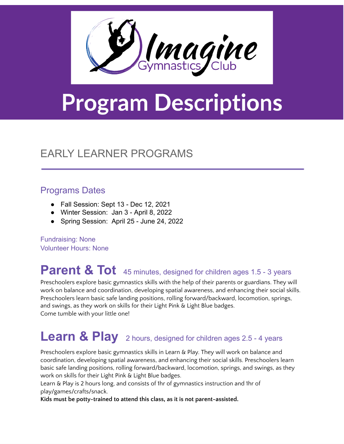

# **Program Descriptions**

#### EARLY LEARNER PROGRAMS

#### Programs Dates

- Fall Session: Sept 13 Dec 12, 2021
- Winter Session: Jan 3 April 8, 2022
- Spring Session: April 25 June 24, 2022

Fundraising: None Volunteer Hours: None

# **Parent & Tot** <sup>45</sup> minutes, designed for children ages 1.5 - <sup>3</sup> years

Preschoolers explore basic gymnastics skills with the help of their parents or guardians. They will work on balance and coordination, developing spatial awareness, and enhancing their social skills. Preschoolers learn basic safe landing positions, rolling forward/backward, locomotion, springs, and swings, as they work on skills for their Light Pink & Light Blue badges. Come tumble with your little one!

# **Learn & Play** <sup>2</sup> hours, designed for children ages 2.5 - <sup>4</sup> years

Preschoolers explore basic gymnastics skills in Learn & Play. They will work on balance and coordination, developing spatial awareness, and enhancing their social skills. Preschoolers learn basic safe landing positions, rolling forward/backward, locomotion, springs, and swings, as they work on skills for their Light Pink & Light Blue badges.

Learn & Play is 2 hours long, and consists of 1hr of gymnastics instruction and 1hr of play/games/crafts/snack.

**Kids must be potty-trained to attend this class, as it is not parent-assisted.**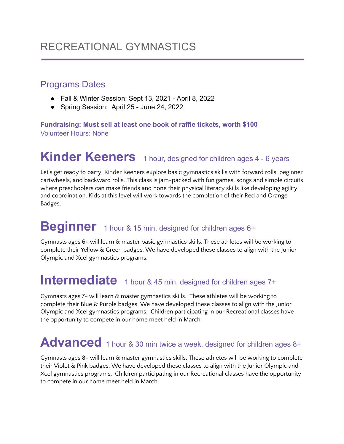#### RECREATIONAL GYMNASTICS

#### Programs Dates

- Fall & Winter Session: Sept 13, 2021 April 8, 2022
- Spring Session: April 25 June 24, 2022

**Fundraising: Must sell at least one book of raffle tickets, worth \$100** Volunteer Hours: None

# **Kinder Keeners** 1 hour, designed for children ages 4 - 6 years

Let's get ready to party! Kinder Keeners explore basic gymnastics skills with forward rolls, beginner cartwheels, and backward rolls. This class is jam-packed with fun games, songs and simple circuits where preschoolers can make friends and hone their physical literacy skills like developing agility and coordination. Kids at this level will work towards the completion of their Red and Orange Badges.

#### **Beginner** 1 hour & 15 min, designed for children ages 6+

Gymnasts ages 6+ will learn & master basic gymnastics skills. These athletes will be working to complete their Yellow & Green badges. We have developed these classes to align with the Junior Olympic and Xcel gymnastics programs.

### **Intermediate** 1 hour & 45 min, designed for children ages 7+

Gymnasts ages 7+ will learn & master gymnastics skills. These athletes will be working to complete their Blue & Purple badges. We have developed these classes to align with the Junior Olympic and Xcel gymnastics programs. Children participating in our Recreational classes have the opportunity to compete in our home meet held in March.

#### Advanced 1 hour & 30 min twice a week, designed for children ages 8+

Gymnasts ages 8+ will learn & master gymnastics skills. These athletes will be working to complete their Violet & Pink badges. We have developed these classes to align with the Junior Olympic and Xcel gymnastics programs. Children participating in our Recreational classes have the opportunity to compete in our home meet held in March.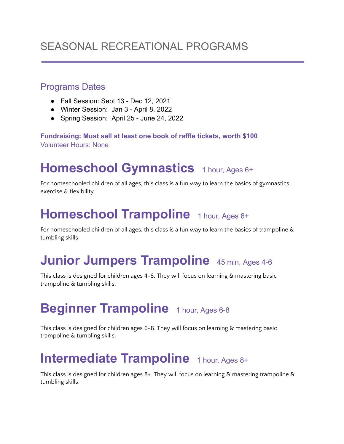#### SEASONAL RECREATIONAL PROGRAMS

#### Programs Dates

- Fall Session: Sept 13 Dec 12, 2021
- Winter Session: Jan 3 April 8, 2022
- Spring Session: April 25 June 24, 2022

**Fundraising: Must sell at least one book of raffle tickets, worth \$100** Volunteer Hours: None

#### **Homeschool Gymnastics** 1 hour, Ages 6+

For homeschooled children of all ages, this class is a fun way to learn the basics of gymnastics, exercise & flexibility.

#### **Homeschool Trampoline** 1 hour, Ages 6+

For homeschooled children of all ages, this class is a fun way to learn the basics of trampoline & tumbling skills.

# **Junior Jumpers Trampoline** <sup>45</sup> min, Ages 4-6

This class is designed for children ages 4-6. They will focus on learning & mastering basic trampoline & tumbling skills.

# **Beginner Trampoline** 1 hour, Ages 6-8

This class is designed for children ages 6-8. They will focus on learning & mastering basic trampoline & tumbling skills.

#### **Intermediate Trampoline** 1 hour, Ages 8+

This class is designed for children ages  $8+$ . They will focus on learning & mastering trampoline & tumbling skills.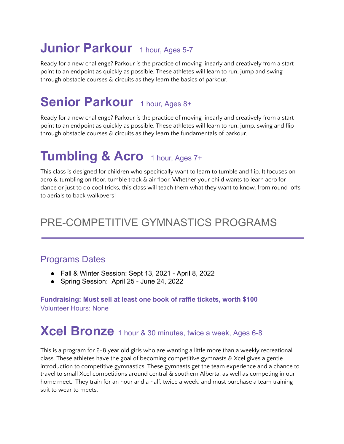# **Junior Parkour** 1 hour, Ages 5-7

Ready for a new challenge? Parkour is the practice of moving linearly and creatively from a start point to an endpoint as quickly as possible. These athletes will learn to run, jump and swing through obstacle courses & circuits as they learn the basics of parkour.

# **Senior Parkour** 1 hour, Ages 8+

Ready for a new challenge? Parkour is the practice of moving linearly and creatively from a start point to an endpoint as quickly as possible. These athletes will learn to run, jump, swing and flip through obstacle courses & circuits as they learn the fundamentals of parkour.

#### **Tumbling & Acro** <sup>1</sup> hour, Ages 7+

This class is designed for children who specifically want to learn to tumble and flip. It focuses on acro & tumbling on floor, tumble track & air floor. Whether your child wants to learn acro for dance or just to do cool tricks, this class will teach them what they want to know, from round-offs to aerials to back walkovers!

#### PRE-COMPETITIVE GYMNASTICS PROGRAMS

#### Programs Dates

- Fall & Winter Session: Sept 13, 2021 April 8, 2022
- Spring Session: April 25 June 24, 2022

**Fundraising: Must sell at least one book of raffle tickets, worth \$100** Volunteer Hours: None

# **Xcel Bronze** <sup>1</sup> hour & <sup>30</sup> minutes, twice <sup>a</sup> week, Ages 6-8

This is a program for 6-8 year old girls who are wanting a little more than a weekly recreational class. These athletes have the goal of becoming competitive gymnasts & Xcel gives a gentle introduction to competitive gymnastics. These gymnasts get the team experience and a chance to travel to small Xcel competitions around central & southern Alberta, as well as competing in our home meet. They train for an hour and a half, twice a week, and must purchase a team training suit to wear to meets.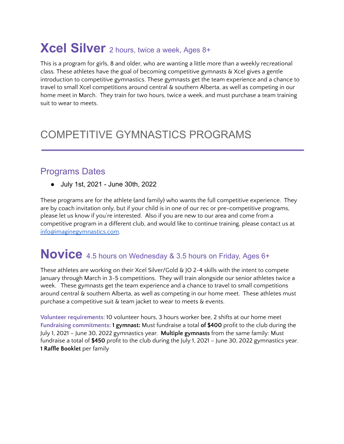# **Xcel Silver** <sup>2</sup> hours, twice <sup>a</sup> week, Ages 8+

This is a program for girls, 8 and older, who are wanting a little more than a weekly recreational class. These athletes have the goal of becoming competitive gymnasts & Xcel gives a gentle introduction to competitive gymnastics. These gymnasts get the team experience and a chance to travel to small Xcel competitions around central & southern Alberta, as well as competing in our home meet in March. They train for two hours, twice a week, and must purchase a team training suit to wear to meets.

#### COMPETITIVE GYMNASTICS PROGRAMS

#### Programs Dates

● July 1st, 2021 - June 30th, 2022

These programs are for the athlete (and family) who wants the full competitive experience. They are by coach invitation only, but if your child is in one of our rec or pre-competitive programs, please let us know if you're interested. Also if you are new to our area and come from a competitive program in a different club, and would like to continue training, please contact us at [info@imaginegymnastics.com.](mailto:info@imaginegymnastics.com)

#### **Novice** 4.5 hours on Wednesday & 3.5 hours on Friday, Ages 6+

These athletes are working on their Xcel Silver/Gold & JO 2-4 skills with the intent to compete January through March in 3-5 competitions. They will train alongside our senior athletes twice a week. These gymnasts get the team experience and a chance to travel to small competitions around central & southern Alberta, as well as competing in our home meet. These athletes must purchase a competitive suit & team jacket to wear to meets & events.

**Volunteer requirements**: 10 volunteer hours, 3 hours worker bee, 2 shifts at our home meet **Fundraising commitments: 1 gymnast:** Must fundraise a total **of \$400** profit to the club during the July 1, 2021 – June 30, 2022 gymnastics year. **Multiple gymnasts** from the same family: Must fundraise a total of **\$450** profit to the club during the July 1, 2021 – June 30, 2022 gymnastics year. **1 Raffle Booklet** per family